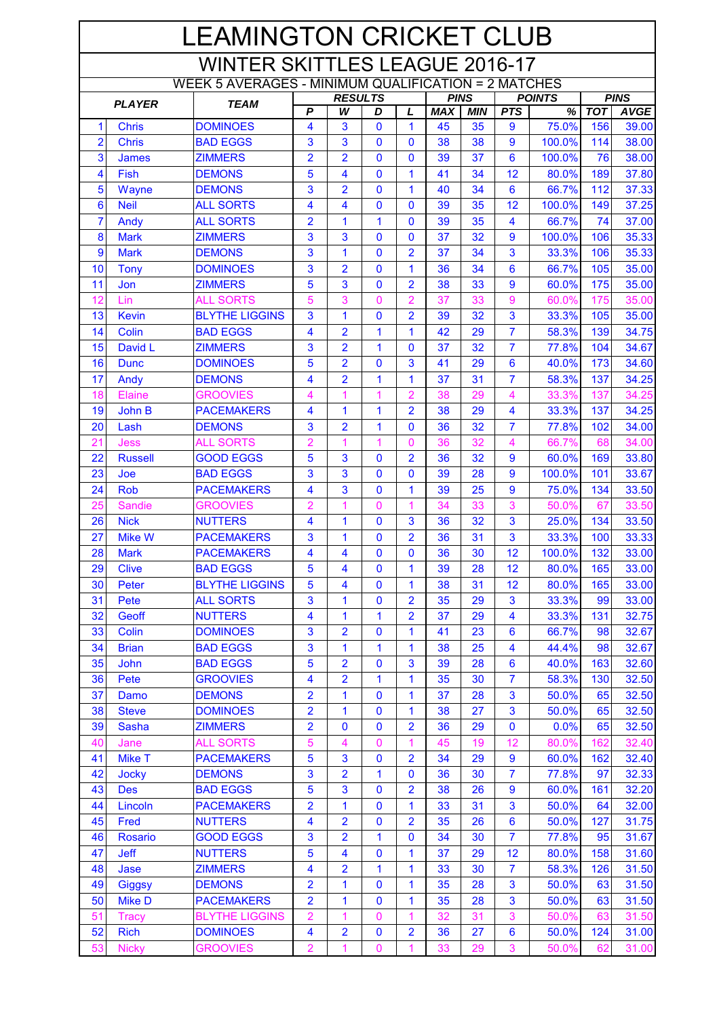| <b>LEAMINGTON CRICKET CLUB</b>                             |                    |                                  |                         |                     |                          |                                |            |             |                         |                 |            |                |
|------------------------------------------------------------|--------------------|----------------------------------|-------------------------|---------------------|--------------------------|--------------------------------|------------|-------------|-------------------------|-----------------|------------|----------------|
| <b>WINTER SKITTLES LEAGUE 2016-17</b>                      |                    |                                  |                         |                     |                          |                                |            |             |                         |                 |            |                |
| <b>WEEK 5 AVERAGES - MINIMUM QUALIFICATION = 2 MATCHES</b> |                    |                                  |                         |                     |                          |                                |            |             |                         |                 |            |                |
| <b>PLAYER</b><br><b>TEAM</b>                               |                    |                                  |                         | <b>RESULTS</b>      |                          |                                |            | <b>PINS</b> | <b>POINTS</b>           |                 |            | <b>PINS</b>    |
|                                                            |                    |                                  | $\overline{P}$          | W                   | D                        | L                              | <b>MAX</b> | <b>MIN</b>  | <b>PTS</b>              | %               | <b>TOT</b> | <b>AVGE</b>    |
| $\mathbf{1}$                                               | <b>Chris</b>       | <b>DOMINOES</b>                  | 4                       | 3                   | $\mathbf{0}$             | 1                              | 45         | 35          | 9                       | 75.0%           | 156        | 39.00          |
| $\overline{2}$                                             | <b>Chris</b>       | <b>BAD EGGS</b>                  | 3                       | 3                   | $\mathbf{0}$             | $\mathbf{0}$                   | 38         | 38          | 9                       | 100.0%          | 114        | 38.00          |
| 3                                                          | <b>James</b>       | <b>ZIMMERS</b>                   | $\overline{2}$          | $\overline{2}$      | 0                        | 0                              | 39         | 37          | $6\phantom{1}6$         | 100.0%          | 76         | 38.00          |
| 4                                                          | Fish               | <b>DEMONS</b>                    | 5                       | 4                   | 0                        | 1                              | 41         | 34          | 12                      | 80.0%           | 189        | 37.80          |
| 5                                                          | Wayne              | <b>DEMONS</b>                    | 3                       | $\overline{2}$      | $\mathbf{0}$             | 1                              | 40         | 34          | $6\phantom{1}6$         | 66.7%           | 112        | 37.33          |
| $6\phantom{1}6$                                            | <b>Neil</b>        | <b>ALL SORTS</b>                 | 4                       | 4                   | $\mathbf{0}$             | 0                              | 39         | 35          | 12                      | 100.0%          | 149        | 37.25          |
| $\overline{7}$<br>8                                        | Andy               | <b>ALL SORTS</b>                 | $\overline{2}$          | 1                   | 1<br>$\mathbf{0}$        | 0                              | 39         | 35          | 4                       | 66.7%           | 74         | 37.00          |
| 9                                                          | <b>Mark</b>        | <b>ZIMMERS</b>                   | 3                       | 3                   |                          | 0                              | 37         | 32<br>34    | $\overline{9}$          | 100.0%<br>33.3% | 106        | 35.33          |
| 10                                                         | <b>Mark</b>        | <b>DEMONS</b><br><b>DOMINOES</b> | 3<br>3                  | 1                   | $\bf{0}$<br>$\mathbf{0}$ | $\overline{2}$<br>$\mathbf{1}$ | 37<br>36   | 34          | 3<br>6                  | 66.7%           | 106<br>105 | 35.33<br>35.00 |
| 11                                                         | <b>Tony</b><br>Jon | <b>ZIMMERS</b>                   | 5                       | $\overline{2}$<br>3 | $\mathbf 0$              | $\overline{2}$                 | 38         | 33          | 9                       | 60.0%           | 175        | 35.00          |
| 12                                                         | Lin                | <b>ALL SORTS</b>                 | 5                       | 3                   | 0                        | $\overline{2}$                 | 37         | 33          | 9                       | 60.0%           | 175        | 35.00          |
| 13                                                         | <b>Kevin</b>       | <b>BLYTHE LIGGINS</b>            | 3                       | 1                   | 0                        | $\overline{2}$                 | 39         | 32          | 3                       | 33.3%           | 105        | 35.00          |
| 14                                                         | Colin              | <b>BAD EGGS</b>                  | 4                       | $\overline{2}$      | 1                        | 1                              | 42         | 29          | $\overline{7}$          | 58.3%           | 139        | 34.75          |
| 15                                                         | David L            | <b>ZIMMERS</b>                   | 3                       | $\overline{2}$      | 1                        | 0                              | 37         | 32          | $\overline{7}$          | 77.8%           | 104        | 34.67          |
| 16                                                         | <b>Dunc</b>        | <b>DOMINOES</b>                  | 5                       | $\overline{2}$      | $\mathbf{0}$             | 3                              | 41         | 29          | $6\phantom{1}6$         | 40.0%           | 173        | 34.60          |
| 17                                                         | Andy               | <b>DEMONS</b>                    | 4                       | $\overline{2}$      | 1                        | 1                              | 37         | 31          | $\overline{7}$          | 58.3%           | 137        | 34.25          |
| 18                                                         | Elaine             | <b>GROOVIES</b>                  | 4                       | 1                   | 1                        | $\overline{2}$                 | 38         | 29          | 4                       | 33.3%           | 137        | 34.25          |
| 19                                                         | John B             | <b>PACEMAKERS</b>                | 4                       | 1                   | 1                        | $\overline{2}$                 | 38         | 29          | 4                       | 33.3%           | 137        | 34.25          |
| 20                                                         | Lash               | <b>DEMONS</b>                    | 3                       | $\overline{2}$      | 1                        | 0                              | 36         | 32          | $\overline{7}$          | 77.8%           | 102        | 34.00          |
| 21                                                         | <b>Jess</b>        | <b>ALL SORTS</b>                 | $\overline{2}$          | 1                   | 1                        | $\mathbf{0}$                   | 36         | 32          | $\overline{4}$          | 66.7%           | 68         | 34.00          |
| 22                                                         | <b>Russell</b>     | <b>GOOD EGGS</b>                 | 5                       | 3                   | $\mathbf{0}$             | $\overline{2}$                 | 36         | 32          | 9                       | 60.0%           | 169        | 33.80          |
| 23                                                         | Joe                | <b>BAD EGGS</b>                  | 3                       | 3                   | $\mathbf{0}$             | 0                              | 39         | 28          | $\overline{9}$          | 100.0%          | 101        | 33.67          |
| 24                                                         | <b>Rob</b>         | <b>PACEMAKERS</b>                | 4                       | 3                   | $\mathbf{0}$             | 1                              | 39         | 25          | 9                       | 75.0%           | 134        | 33.50          |
| 25                                                         | <b>Sandie</b>      | <b>GROOVIES</b>                  | $\overline{2}$          | 1                   | 0                        | 1                              | 34         | 33          | 3                       | 50.0%           | 67         | 33.50          |
| 26                                                         | <b>Nick</b>        | <b>NUTTERS</b>                   | 4                       | 1                   | $\bf{0}$                 | 3                              | 36         | 32          | 3                       | 25.0%           | 134        | 33.50          |
| 27                                                         | <b>Mike W</b>      | <b>PACEMAKERS</b>                | 3                       | 1                   | $\mathbf 0$              | $\overline{2}$                 | 36         | 31          | 3                       | 33.3%           | 100        | 33.33          |
| 28                                                         | <b>Mark</b>        | <b>PACEMAKERS</b>                | 4                       | 4                   | 0                        | 0                              | 36         | 30          | 12                      | 100.0%          | 132        | 33.00          |
| 29                                                         | <b>Clive</b>       | <b>BAD EGGS</b>                  | 5                       | 4                   | $\mathbf{0}$             | 1                              | 39         | 28          | 12                      | 80.0%           | 165        | 33.00          |
| 30                                                         | Peter              | <b>BLYTHE LIGGINS</b>            | 5                       | 4                   | $\mathbf{0}$             | 1                              | 38         | 31          | 12                      | 80.0%           | 165        | 33.00          |
| 31                                                         | Pete               | <b>ALL SORTS</b>                 | 3                       | 1                   | $\mathbf 0$              | $\overline{2}$                 | 35         | 29          | 3                       | 33.3%           | 99         | 33.00          |
| 32                                                         | Geoff              | <b>NUTTERS</b>                   | 4                       | 1                   | 1                        | $\overline{2}$                 | 37         | 29          | $\overline{\mathbf{4}}$ | 33.3%           | 131        | 32.75          |
| 33                                                         | Colin              | <b>DOMINOES</b>                  | 3                       | $\overline{2}$      | $\mathbf{0}$             | 1                              | 41         | 23          | $6\phantom{1}6$         | 66.7%           | 98         | 32.67          |
| 34                                                         | <b>Brian</b>       | <b>BAD EGGS</b>                  | 3                       | 1                   | 1                        | 1                              | 38         | 25          | 4                       | 44.4%           | 98         | 32.67          |
| 35                                                         | <b>John</b>        | <b>BAD EGGS</b>                  | 5                       | $\overline{2}$      | $\mathbf{0}$             | 3                              | 39         | 28          | 6                       | 40.0%           | 163        | 32.60          |
| 36                                                         | Pete               | <b>GROOVIES</b>                  | 4                       | $\overline{2}$      | 1                        | 1                              | 35         | 30          | $\overline{7}$          | 58.3%           | 130        | 32.50          |
| 37                                                         | Damo               | <b>DEMONS</b>                    | 2                       | 1                   | $\mathbf 0$              | $\mathbf{1}$                   | 37         | 28          | 3                       | 50.0%           | 65         | 32.50          |
| 38                                                         | <b>Steve</b>       | <b>DOMINOES</b>                  | $\overline{2}$          | 1                   | $\mathbf 0$              | 1                              | 38         | 27          | 3                       | 50.0%           | 65         | 32.50          |
| 39                                                         | Sasha              | <b>ZIMMERS</b>                   | $\overline{\mathbf{c}}$ | $\bf{0}$            | 0                        | $\overline{2}$                 | 36         | 29          | $\bf{0}$                | 0.0%            | 65         | 32.50          |
| 40                                                         | Jane               | <b>ALL SORTS</b>                 | 5                       | 4                   | $\mathbf 0$              | 1                              | 45         | 19          | 12                      | 80.0%           | 162        | 32.40          |
| 41                                                         | Mike T             | <b>PACEMAKERS</b>                | 5                       | 3                   | $\mathbf{0}$             | $\overline{2}$                 | 34         | 29          | 9                       | 60.0%           | 162        | 32.40          |
| 42                                                         | <b>Jocky</b>       | <b>DEMONS</b>                    | 3                       | 2                   | 1                        | 0                              | 36         | 30          | $\overline{7}$          | 77.8%           | 97         | 32.33          |
| 43                                                         | <b>Des</b>         | <b>BAD EGGS</b>                  | 5                       | 3                   | $\mathbf 0$              | $\overline{2}$                 | 38         | 26          | $\boldsymbol{9}$        | 60.0%           | 161        | 32.20          |
| 44                                                         | Lincoln            | <b>PACEMAKERS</b>                | $\overline{2}$          | 1                   | $\mathbf 0$              | 1                              | 33         | 31          | 3                       | 50.0%           | 64         | 32.00          |
| 45                                                         | Fred               | <b>NUTTERS</b>                   | 4                       | $\overline{2}$      | $\mathbf{0}$             | $\overline{2}$                 | 35         | 26          | $6\phantom{1}6$         | 50.0%           | 127        | 31.75          |
| 46                                                         | <b>Rosario</b>     | <b>GOOD EGGS</b>                 | 3                       | $\overline{2}$      | 1                        | $\mathbf{0}$                   | 34         | 30          | $\overline{7}$          | 77.8%           | 95         | 31.67          |
| 47                                                         | <b>Jeff</b>        | <b>NUTTERS</b>                   | 5                       | 4                   | $\mathbf{0}$             | 1                              | 37         | 29          | 12                      | 80.0%           | 158        | 31.60          |
| 48                                                         | Jase               | <b>ZIMMERS</b>                   | 4                       | 2                   | 1                        | $\mathbf{1}$                   | 33         | 30          | $\overline{7}$          | 58.3%           | 126        | 31.50          |
| 49                                                         | <b>Giggsy</b>      | <b>DEMONS</b>                    | $\overline{2}$          | 1                   | $\bf{0}$                 | 1                              | 35         | 28          | 3                       | 50.0%           | 63         | 31.50          |
| 50                                                         | <b>Mike D</b>      | <b>PACEMAKERS</b>                | $\overline{2}$          | 1                   | 0                        | 1                              | 35         | 28          | 3                       | 50.0%           | 63         | 31.50          |
| 51                                                         | <b>Tracy</b>       | <b>BLYTHE LIGGINS</b>            | 2                       | 1                   | 0                        | 1                              | 32         | 31          | 3                       | 50.0%           | 63         | 31.50          |
| 52                                                         | <b>Rich</b>        | <b>DOMINOES</b>                  | 4                       | $\overline{2}$      | $\bf{0}$                 | $\overline{2}$                 | 36         | 27          | $6\phantom{1}6$         | 50.0%           | 124        | 31.00          |
| 53                                                         | <b>Nicky</b>       | <b>GROOVIES</b>                  | 2                       | 1                   | 0                        | 1                              | 33         | 29          | $\mathsf 3$             | 50.0%           | 62         | 31.00          |